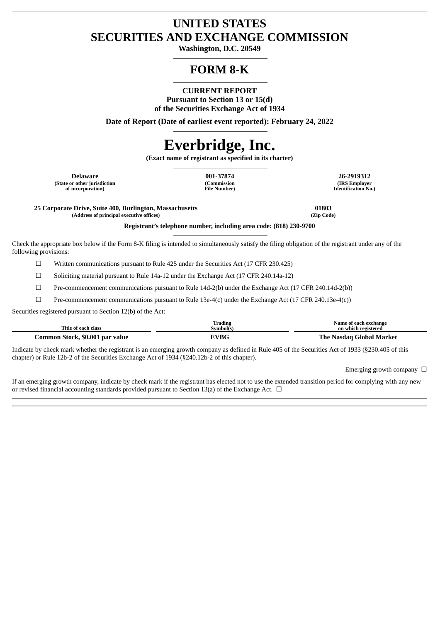# **UNITED STATES SECURITIES AND EXCHANGE COMMISSION**

**Washington, D.C. 20549**

# **FORM 8-K**

**CURRENT REPORT Pursuant to Section 13 or 15(d)**

**of the Securities Exchange Act of 1934**

**Date of Report (Date of earliest event reported): February 24, 2022**

# **Everbridge, Inc.**

**(Exact name of registrant as specified in its charter)**

**(State or other jurisdiction of incorporation)**

**(Commission File Number)**

**Delaware 001-37874 26-2919312 (IRS Employer Identification No.)**

**25 Corporate Drive, Suite 400, Burlington, Massachusetts 01803**

**(Address of principal executive offices) (Zip Code)**

**Registrant's telephone number, including area code: (818) 230-9700**

Check the appropriate box below if the Form 8-K filing is intended to simultaneously satisfy the filing obligation of the registrant under any of the following provisions:

 $\Box$  Written communications pursuant to Rule 425 under the Securities Act (17 CFR 230.425)

 $\Box$  Soliciting material pursuant to Rule 14a-12 under the Exchange Act (17 CFR 240.14a-12)

☐ Pre-commencement communications pursuant to Rule 14d-2(b) under the Exchange Act (17 CFR 240.14d-2(b))

☐ Pre-commencement communications pursuant to Rule 13e-4(c) under the Exchange Act (17 CFR 240.13e-4(c))

Securities registered pursuant to Section 12(b) of the Act:

| Title of each class             | Trading<br>Svmbol(s) | Name of each exchange<br>on which registered |
|---------------------------------|----------------------|----------------------------------------------|
| Common Stock, \$0.001 par value | EVBG                 | The Nasdaq Global Market                     |

Indicate by check mark whether the registrant is an emerging growth company as defined in Rule 405 of the Securities Act of 1933 (§230.405 of this chapter) or Rule 12b-2 of the Securities Exchange Act of 1934 (§240.12b-2 of this chapter).

Emerging growth company  $\Box$ 

If an emerging growth company, indicate by check mark if the registrant has elected not to use the extended transition period for complying with any new or revised financial accounting standards provided pursuant to Section 13(a) of the Exchange Act.  $\Box$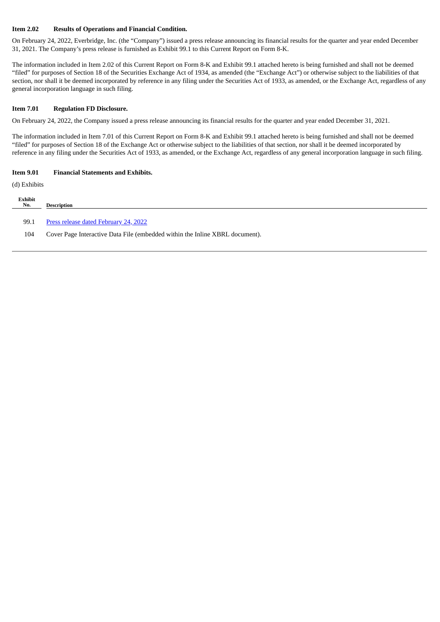#### **Item 2.02 Results of Operations and Financial Condition.**

On February 24, 2022, Everbridge, Inc. (the "Company") issued a press release announcing its financial results for the quarter and year ended December 31, 2021. The Company's press release is furnished as Exhibit 99.1 to this Current Report on Form 8-K.

The information included in Item 2.02 of this Current Report on Form 8-K and Exhibit 99.1 attached hereto is being furnished and shall not be deemed "filed" for purposes of Section 18 of the Securities Exchange Act of 1934, as amended (the "Exchange Act") or otherwise subject to the liabilities of that section, nor shall it be deemed incorporated by reference in any filing under the Securities Act of 1933, as amended, or the Exchange Act, regardless of any general incorporation language in such filing.

#### **Item 7.01 Regulation FD Disclosure.**

On February 24, 2022, the Company issued a press release announcing its financial results for the quarter and year ended December 31, 2021.

The information included in Item 7.01 of this Current Report on Form 8-K and Exhibit 99.1 attached hereto is being furnished and shall not be deemed "filed" for purposes of Section 18 of the Exchange Act or otherwise subject to the liabilities of that section, nor shall it be deemed incorporated by reference in any filing under the Securities Act of 1933, as amended, or the Exchange Act, regardless of any general incorporation language in such filing.

#### **Item 9.01 Financial Statements and Exhibits.**

(d) Exhibits

| Exhibit<br>No. | Description                                                                  |
|----------------|------------------------------------------------------------------------------|
| 99.1           | Press release dated February 24, 2022                                        |
| 104            | Cover Page Interactive Data File (embedded within the Inline XBRL document). |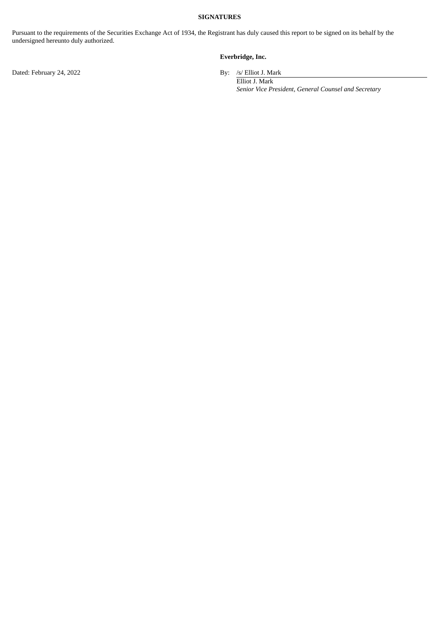#### **SIGNATURES**

Pursuant to the requirements of the Securities Exchange Act of 1934, the Registrant has duly caused this report to be signed on its behalf by the undersigned hereunto duly authorized.

# **Everbridge, Inc.**

Elliot J. Mark *Senior Vice President, General Counsel and Secretary*

Dated: February 24, 2022 By: /s/ Elliot J. Mark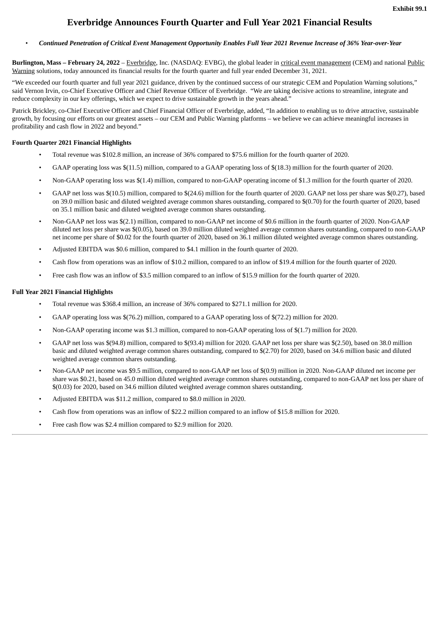# **Everbridge Announces Fourth Quarter and Full Year 2021 Financial Results**

<span id="page-3-0"></span>Continued Penetration of Critical Event Management Opportunity Enables Full Year 2021 Revenue Increase of 36% Year-over-Year

**Burlington, Mass – February 24, 2022** – Everbridge, Inc. (NASDAQ: EVBG), the global leader in critical event management (CEM) and national Public Warning solutions, today announced its financial results for the fourth quarter and full year ended December 31, 2021.

"We exceeded our fourth quarter and full year 2021 guidance, driven by the continued success of our strategic CEM and Population Warning solutions," said Vernon Irvin, co-Chief Executive Officer and Chief Revenue Officer of Everbridge. "We are taking decisive actions to streamline, integrate and reduce complexity in our key offerings, which we expect to drive sustainable growth in the years ahead."

Patrick Brickley, co-Chief Executive Officer and Chief Financial Officer of Everbridge, added, "In addition to enabling us to drive attractive, sustainable growth, by focusing our efforts on our greatest assets – our CEM and Public Warning platforms – we believe we can achieve meaningful increases in profitability and cash flow in 2022 and beyond."

#### **Fourth Quarter 2021 Financial Highlights**

- Total revenue was \$102.8 million, an increase of 36% compared to \$75.6 million for the fourth quarter of 2020.
- GAAP operating loss was \$(11.5) million, compared to a GAAP operating loss of \$(18.3) million for the fourth quarter of 2020.
- Non-GAAP operating loss was \$(1.4) million, compared to non-GAAP operating income of \$1.3 million for the fourth quarter of 2020.
- GAAP net loss was \$(10.5) million, compared to \$(24.6) million for the fourth quarter of 2020. GAAP net loss per share was \$(0.27), based on 39.0 million basic and diluted weighted average common shares outstanding, compared to \$(0.70) for the fourth quarter of 2020, based on 35.1 million basic and diluted weighted average common shares outstanding.
- Non-GAAP net loss was \$(2.1) million, compared to non-GAAP net income of \$0.6 million in the fourth quarter of 2020. Non-GAAP diluted net loss per share was \$(0.05), based on 39.0 million diluted weighted average common shares outstanding, compared to non-GAAP net income per share of \$0.02 for the fourth quarter of 2020, based on 36.1 million diluted weighted average common shares outstanding.
- Adjusted EBITDA was \$0.6 million, compared to \$4.1 million in the fourth quarter of 2020.
- Cash flow from operations was an inflow of \$10.2 million, compared to an inflow of \$19.4 million for the fourth quarter of 2020.
- Free cash flow was an inflow of \$3.5 million compared to an inflow of \$15.9 million for the fourth quarter of 2020.

#### **Full Year 2021 Financial Highlights**

- Total revenue was \$368.4 million, an increase of 36% compared to \$271.1 million for 2020.
- GAAP operating loss was \$(76.2) million, compared to a GAAP operating loss of \$(72.2) million for 2020.
- Non-GAAP operating income was \$1.3 million, compared to non-GAAP operating loss of \$(1.7) million for 2020.
- GAAP net loss was \$(94.8) million, compared to \$(93.4) million for 2020. GAAP net loss per share was \$(2.50), based on 38.0 million basic and diluted weighted average common shares outstanding, compared to \$(2.70) for 2020, based on 34.6 million basic and diluted weighted average common shares outstanding.
- Non-GAAP net income was \$9.5 million, compared to non-GAAP net loss of \$(0.9) million in 2020. Non-GAAP diluted net income per share was \$0.21, based on 45.0 million diluted weighted average common shares outstanding, compared to non-GAAP net loss per share of \$(0.03) for 2020, based on 34.6 million diluted weighted average common shares outstanding.
- Adjusted EBITDA was \$11.2 million, compared to \$8.0 million in 2020.
- Cash flow from operations was an inflow of \$22.2 million compared to an inflow of \$15.8 million for 2020.
- Free cash flow was \$2.4 million compared to \$2.9 million for 2020.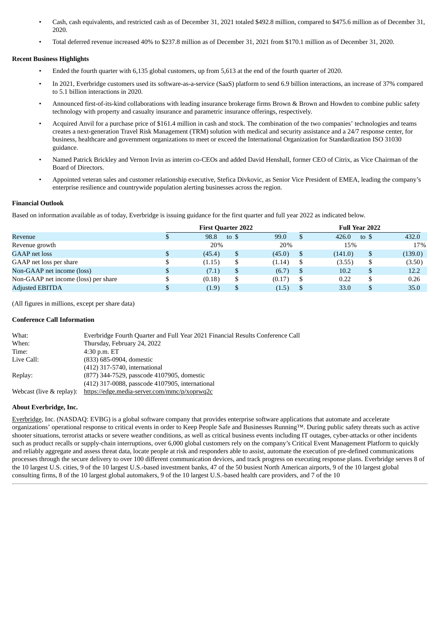- Cash, cash equivalents, and restricted cash as of December 31, 2021 totaled \$492.8 million, compared to \$475.6 million as of December 31, 2020.
- Total deferred revenue increased 40% to \$237.8 million as of December 31, 2021 from \$170.1 million as of December 31, 2020.

#### **Recent Business Highlights**

- Ended the fourth quarter with 6,135 global customers, up from 5,613 at the end of the fourth quarter of 2020.
- In 2021, Everbridge customers used its software-as-a-service (SaaS) platform to send 6.9 billion interactions, an increase of 37% compared to 5.1 billion interactions in 2020.
- Announced first-of-its-kind collaborations with leading insurance brokerage firms Brown & Brown and Howden to combine public safety technology with property and casualty insurance and parametric insurance offerings, respectively.
- Acquired Anvil for a purchase price of \$161.4 million in cash and stock. The combination of the two companies' technologies and teams creates a next-generation Travel Risk Management (TRM) solution with medical and security assistance and a 24/7 response center, for business, healthcare and government organizations to meet or exceed the International Organization for Standardization ISO 31030 guidance.
- Named Patrick Brickley and Vernon Irvin as interim co-CEOs and added David Henshall, former CEO of Citrix, as Vice Chairman of the Board of Directors.
- Appointed veteran sales and customer relationship executive, Stefica Divkovic, as Senior Vice President of EMEA, leading the company's enterprise resilience and countrywide population alerting businesses across the region.

#### **Financial Outlook**

Based on information available as of today, Everbridge is issuing guidance for the first quarter and full year 2022 as indicated below.

|                                      | <b>First Quarter 2022</b> |                |        | <b>Full Year 2022</b> |                |         |  |  |  |  |
|--------------------------------------|---------------------------|----------------|--------|-----------------------|----------------|---------|--|--|--|--|
| Revenue                              | 98.8                      | to \$          | 99.0   | S                     | 426.0<br>to \$ | 432.0   |  |  |  |  |
| Revenue growth                       | 20%                       |                | 20%    |                       | 15%            | 17%     |  |  |  |  |
| GAAP net loss                        | \$<br>(45.4)              | \$             | (45.0) |                       | \$<br>(141.0)  | (139.0) |  |  |  |  |
| GAAP net loss per share              | \$<br>(1.15)              | \$             | (1.14) |                       | \$<br>(3.55)   | (3.50)  |  |  |  |  |
| Non-GAAP net income (loss)           | (7.1)                     | $\mathfrak{s}$ | (6.7)  |                       | 10.2<br>\$     | 12.2    |  |  |  |  |
| Non-GAAP net income (loss) per share | (0.18)                    | \$             | (0.17) |                       | \$<br>0.22     | 0.26    |  |  |  |  |
| <b>Adjusted EBITDA</b>               | (1.9)                     |                | (1.5)  |                       | 33.0           | 35.0    |  |  |  |  |

(All figures in millions, except per share data)

#### **Conference Call Information**

| What:                    | Everbridge Fourth Quarter and Full Year 2021 Financial Results Conference Call |
|--------------------------|--------------------------------------------------------------------------------|
| When:                    | Thursday, February 24, 2022                                                    |
| Time:                    | $4:30$ p.m. $ET$                                                               |
| Live Call:               | (833) 685-0904, domestic                                                       |
|                          | (412) 317-5740, international                                                  |
| Replay:                  | (877) 344-7529, passcode 4107905, domestic                                     |
|                          | (412) 317-0088, passcode 4107905, international                                |
| Webcast (live & replay): | https://edge.media-server.com/mmc/p/xoprwq2c                                   |

### **About Everbridge, Inc.**

Everbridge, Inc. (NASDAQ: EVBG) is a global software company that provides enterprise software applications that automate and accelerate organizations' operational response to critical events in order to Keep People Safe and Businesses Running™. During public safety threats such as active shooter situations, terrorist attacks or severe weather conditions, as well as critical business events including IT outages, cyber-attacks or other incidents such as product recalls or supply-chain interruptions, over 6,000 global customers rely on the company's Critical Event Management Platform to quickly and reliably aggregate and assess threat data, locate people at risk and responders able to assist, automate the execution of pre-defined communications processes through the secure delivery to over 100 different communication devices, and track progress on executing response plans. Everbridge serves 8 of the 10 largest U.S. cities, 9 of the 10 largest U.S.-based investment banks, 47 of the 50 busiest North American airports, 9 of the 10 largest global consulting firms, 8 of the 10 largest global automakers, 9 of the 10 largest U.S.-based health care providers, and 7 of the 10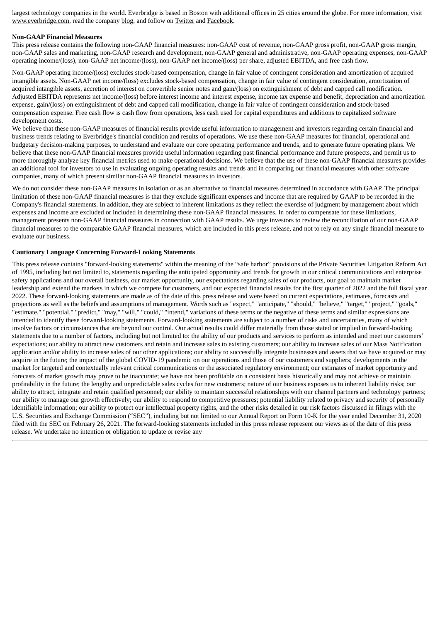largest technology companies in the world. Everbridge is based in Boston with additional offices in 25 cities around the globe. For more information, visit www.everbridge.com, read the company blog, and follow on Twitter and Facebook.

#### **Non-GAAP Financial Measures**

This press release contains the following non-GAAP financial measures: non-GAAP cost of revenue, non-GAAP gross profit, non-GAAP gross margin, non-GAAP sales and marketing, non-GAAP research and development, non-GAAP general and administrative, non-GAAP operating expenses, non-GAAP operating income/(loss), non-GAAP net income/(loss), non-GAAP net income/(loss) per share, adjusted EBITDA, and free cash flow.

Non-GAAP operating income/(loss) excludes stock-based compensation, change in fair value of contingent consideration and amortization of acquired intangible assets. Non-GAAP net income/(loss) excludes stock-based compensation, change in fair value of contingent consideration, amortization of acquired intangible assets, accretion of interest on convertible senior notes and gain/(loss) on extinguishment of debt and capped call modification. Adjusted EBITDA represents net income/(loss) before interest income and interest expense, income tax expense and benefit, depreciation and amortization expense, gain/(loss) on extinguishment of debt and capped call modification, change in fair value of contingent consideration and stock-based compensation expense. Free cash flow is cash flow from operations, less cash used for capital expenditures and additions to capitalized software development costs.

We believe that these non-GAAP measures of financial results provide useful information to management and investors regarding certain financial and business trends relating to Everbridge's financial condition and results of operations. We use these non-GAAP measures for financial, operational and budgetary decision-making purposes, to understand and evaluate our core operating performance and trends, and to generate future operating plans. We believe that these non-GAAP financial measures provide useful information regarding past financial performance and future prospects, and permit us to more thoroughly analyze key financial metrics used to make operational decisions. We believe that the use of these non-GAAP financial measures provides an additional tool for investors to use in evaluating ongoing operating results and trends and in comparing our financial measures with other software companies, many of which present similar non-GAAP financial measures to investors.

We do not consider these non-GAAP measures in isolation or as an alternative to financial measures determined in accordance with GAAP. The principal limitation of these non-GAAP financial measures is that they exclude significant expenses and income that are required by GAAP to be recorded in the Company's financial statements. In addition, they are subject to inherent limitations as they reflect the exercise of judgment by management about which expenses and income are excluded or included in determining these non-GAAP financial measures. In order to compensate for these limitations, management presents non-GAAP financial measures in connection with GAAP results. We urge investors to review the reconciliation of our non-GAAP financial measures to the comparable GAAP financial measures, which are included in this press release, and not to rely on any single financial measure to evaluate our business.

#### **Cautionary Language Concerning Forward-Looking Statements**

This press release contains "forward-looking statements" within the meaning of the "safe harbor" provisions of the Private Securities Litigation Reform Act of 1995, including but not limited to, statements regarding the anticipated opportunity and trends for growth in our critical communications and enterprise safety applications and our overall business, our market opportunity, our expectations regarding sales of our products, our goal to maintain market leadership and extend the markets in which we compete for customers, and our expected financial results for the first quarter of 2022 and the full fiscal year 2022. These forward-looking statements are made as of the date of this press release and were based on current expectations, estimates, forecasts and projections as well as the beliefs and assumptions of management. Words such as "expect," "anticipate," "should," "believe," "target," "project," "goals," "estimate," "potential," "predict," "may," "will," "could," "intend," variations of these terms or the negative of these terms and similar expressions are intended to identify these forward-looking statements. Forward-looking statements are subject to a number of risks and uncertainties, many of which involve factors or circumstances that are beyond our control. Our actual results could differ materially from those stated or implied in forward-looking statements due to a number of factors, including but not limited to: the ability of our products and services to perform as intended and meet our customers' expectations; our ability to attract new customers and retain and increase sales to existing customers; our ability to increase sales of our Mass Notification application and/or ability to increase sales of our other applications; our ability to successfully integrate businesses and assets that we have acquired or may acquire in the future; the impact of the global COVID-19 pandemic on our operations and those of our customers and suppliers; developments in the market for targeted and contextually relevant critical communications or the associated regulatory environment; our estimates of market opportunity and forecasts of market growth may prove to be inaccurate; we have not been profitable on a consistent basis historically and may not achieve or maintain profitability in the future; the lengthy and unpredictable sales cycles for new customers; nature of our business exposes us to inherent liability risks; our ability to attract, integrate and retain qualified personnel; our ability to maintain successful relationships with our channel partners and technology partners; our ability to manage our growth effectively; our ability to respond to competitive pressures; potential liability related to privacy and security of personally identifiable information; our ability to protect our intellectual property rights, and the other risks detailed in our risk factors discussed in filings with the U.S. Securities and Exchange Commission ("SEC"), including but not limited to our Annual Report on Form 10-K for the year ended December 31, 2020 filed with the SEC on February 26, 2021. The forward-looking statements included in this press release represent our views as of the date of this press release. We undertake no intention or obligation to update or revise any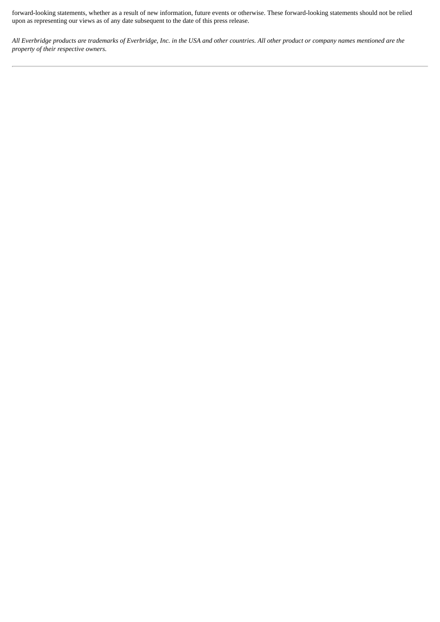forward-looking statements, whether as a result of new information, future events or otherwise. These forward-looking statements should not be relied upon as representing our views as of any date subsequent to the date of this press release.

All Everbridge products are trademarks of Everbridge, Inc. in the USA and other countries. All other product or company names mentioned are the *property of their respective owners.*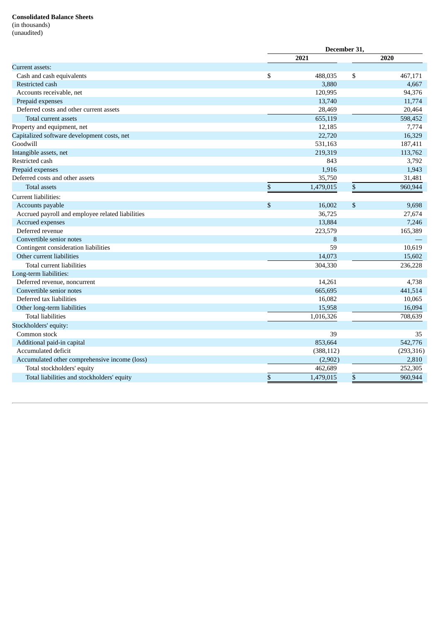#### **Consolidated Balance Sheets**

(in thousands)

| (unaudited) |  |
|-------------|--|
|-------------|--|

|                                                  | December 31,    |                                      |  |  |  |
|--------------------------------------------------|-----------------|--------------------------------------|--|--|--|
|                                                  | 2021            | 2020                                 |  |  |  |
| Current assets:                                  |                 |                                      |  |  |  |
| Cash and cash equivalents                        | \$<br>488,035   | \$<br>467,171                        |  |  |  |
| Restricted cash                                  | 3,880           | 4,667                                |  |  |  |
| Accounts receivable, net                         | 120,995         | 94,376                               |  |  |  |
| Prepaid expenses                                 | 13,740          | 11,774                               |  |  |  |
| Deferred costs and other current assets          | 28,469          | 20,464                               |  |  |  |
| Total current assets                             | 655,119         | 598,452                              |  |  |  |
| Property and equipment, net                      | 12,185          | 7,774                                |  |  |  |
| Capitalized software development costs, net      | 22,720          | 16,329                               |  |  |  |
| Goodwill                                         | 531,163         | 187,411                              |  |  |  |
| Intangible assets, net                           | 219,319         | 113,762                              |  |  |  |
| Restricted cash                                  | 843             | 3,792                                |  |  |  |
| Prepaid expenses                                 | 1,916           | 1,943                                |  |  |  |
| Deferred costs and other assets                  | 35,750          | 31,481                               |  |  |  |
| Total assets                                     | \$<br>1,479,015 | $\boldsymbol{\mathsf{S}}$<br>960,944 |  |  |  |
| Current liabilities:                             |                 |                                      |  |  |  |
| Accounts payable                                 | \$<br>16,002    | \$<br>9,698                          |  |  |  |
| Accrued payroll and employee related liabilities | 36,725          | 27,674                               |  |  |  |
| Accrued expenses                                 | 13,884          | 7,246                                |  |  |  |
| Deferred revenue                                 | 223,579         | 165,389                              |  |  |  |
| Convertible senior notes                         |                 | 8                                    |  |  |  |
| Contingent consideration liabilities             |                 | 59<br>10,619                         |  |  |  |
| Other current liabilities                        | 14,073          | 15,602                               |  |  |  |
| <b>Total current liabilities</b>                 | 304,330         | 236,228                              |  |  |  |
| Long-term liabilities:                           |                 |                                      |  |  |  |
| Deferred revenue, noncurrent                     | 14,261          | 4,738                                |  |  |  |
| Convertible senior notes                         | 665,695         | 441,514                              |  |  |  |
| Deferred tax liabilities                         | 16,082          | 10,065                               |  |  |  |
| Other long-term liabilities                      | 15,958          | 16,094                               |  |  |  |
| <b>Total liabilities</b>                         | 1,016,326       | 708,639                              |  |  |  |
| Stockholders' equity:                            |                 |                                      |  |  |  |
| Common stock                                     |                 | 39<br>35                             |  |  |  |
| Additional paid-in capital                       | 853,664         | 542,776                              |  |  |  |
| Accumulated deficit                              | (388, 112)      | (293, 316)                           |  |  |  |
| Accumulated other comprehensive income (loss)    | (2,902)         | 2,810                                |  |  |  |
| Total stockholders' equity                       | 462,689         | 252,305                              |  |  |  |
| Total liabilities and stockholders' equity       | \$<br>1,479,015 | \$<br>960,944                        |  |  |  |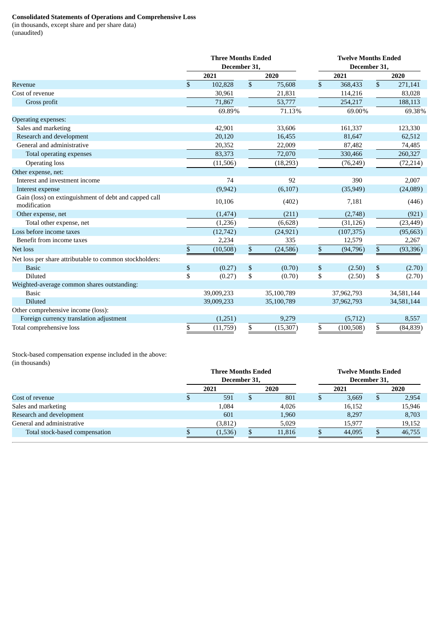#### **Consolidated Statements of Operations and Comprehensive Loss**

(in thousands, except share and per share data) (unaudited)

|                                                                       | <b>Three Months Ended</b><br>December 31, |            |              |            |    | <b>Twelve Months Ended</b><br>December 31, |    |            |  |  |
|-----------------------------------------------------------------------|-------------------------------------------|------------|--------------|------------|----|--------------------------------------------|----|------------|--|--|
|                                                                       |                                           | 2021       |              | 2020       |    | 2021                                       |    | 2020       |  |  |
| Revenue                                                               | \$                                        | 102,828    | $\sqrt{3}$   | 75,608     | \$ | 368,433                                    | \$ | 271,141    |  |  |
| Cost of revenue                                                       |                                           | 30,961     |              | 21,831     |    | 114,216                                    |    | 83,028     |  |  |
| Gross profit                                                          |                                           | 71,867     |              | 53,777     |    | 254,217                                    |    | 188,113    |  |  |
|                                                                       |                                           | 69.89%     |              | 71.13%     |    | 69.00%                                     |    | 69.38%     |  |  |
| Operating expenses:                                                   |                                           |            |              |            |    |                                            |    |            |  |  |
| Sales and marketing                                                   |                                           | 42,901     |              | 33,606     |    | 161,337                                    |    | 123,330    |  |  |
| Research and development                                              |                                           | 20,120     |              | 16,455     |    | 81,647                                     |    | 62,512     |  |  |
| General and administrative                                            |                                           | 20,352     |              | 22,009     |    | 87,482                                     |    | 74,485     |  |  |
| Total operating expenses                                              |                                           | 83,373     |              | 72,070     |    | 330,466                                    |    | 260,327    |  |  |
| <b>Operating loss</b>                                                 |                                           | (11, 506)  |              | (18,293)   |    | (76, 249)                                  |    | (72, 214)  |  |  |
| Other expense, net:                                                   |                                           |            |              |            |    |                                            |    |            |  |  |
| Interest and investment income                                        |                                           | 74         |              | 92         |    | 390                                        |    | 2,007      |  |  |
| Interest expense                                                      |                                           | (9, 942)   |              | (6,107)    |    | (35, 949)                                  |    | (24,089)   |  |  |
| Gain (loss) on extinguishment of debt and capped call<br>modification |                                           | 10,106     |              | (402)      |    | 7,181                                      |    | (446)      |  |  |
| Other expense, net                                                    |                                           | (1, 474)   |              | (211)      |    | (2,748)                                    |    | (921)      |  |  |
| Total other expense, net                                              |                                           | (1,236)    |              | (6,628)    |    | (31, 126)                                  |    | (23, 449)  |  |  |
| Loss before income taxes                                              |                                           | (12, 742)  |              | (24, 921)  |    | (107, 375)                                 |    | (95, 663)  |  |  |
| Benefit from income taxes                                             |                                           | 2,234      |              | 335        |    | 12,579                                     |    | 2,267      |  |  |
| <b>Net loss</b>                                                       | $\mathbb{S}$                              | (10,508)   | $\mathbb{S}$ | (24, 586)  | \$ | (94,796)                                   | \$ | (93, 396)  |  |  |
| Net loss per share attributable to common stockholders:               |                                           |            |              |            |    |                                            |    |            |  |  |
| <b>Basic</b>                                                          | $\mathbb{S}$                              | (0.27)     | \$           | (0.70)     | \$ | (2.50)                                     | \$ | (2.70)     |  |  |
| Diluted                                                               | \$                                        | (0.27)     | \$           | (0.70)     | \$ | (2.50)                                     | \$ | (2.70)     |  |  |
| Weighted-average common shares outstanding:                           |                                           |            |              |            |    |                                            |    |            |  |  |
| <b>Basic</b>                                                          |                                           | 39,009,233 |              | 35,100,789 |    | 37,962,793                                 |    | 34,581,144 |  |  |
| <b>Diluted</b>                                                        |                                           | 39,009,233 |              | 35,100,789 |    | 37,962,793                                 |    | 34,581,144 |  |  |
| Other comprehensive income (loss):                                    |                                           |            |              |            |    |                                            |    |            |  |  |
| Foreign currency translation adjustment                               |                                           | (1,251)    |              | 9,279      |    | (5,712)                                    |    | 8,557      |  |  |
| Total comprehensive loss                                              | \$                                        | (11,759)   | \$           | (15, 307)  | \$ | (100, 508)                                 | \$ | (84, 839)  |  |  |

Stock-based compensation expense included in the above: (in thousands)

|                                | <b>Three Months Ended</b> |              |      |        | <b>Twelve Months Ended</b> |              |   |        |  |
|--------------------------------|---------------------------|--------------|------|--------|----------------------------|--------------|---|--------|--|
|                                |                           | December 31, |      |        |                            | December 31, |   |        |  |
|                                | 2021<br>2020              |              | 2021 |        | 2020                       |              |   |        |  |
| Cost of revenue                |                           | 591          |      | 801    |                            | 3,669        | S | 2,954  |  |
| Sales and marketing            |                           | 1,084        |      | 4,026  |                            | 16,152       |   | 15,946 |  |
| Research and development       |                           | 601          |      | 1,960  |                            | 8,297        |   | 8,703  |  |
| General and administrative     |                           | (3,812)      |      | 5,029  |                            | 15,977       |   | 19,152 |  |
| Total stock-based compensation |                           | (1,536)      |      | 11,816 |                            | 44,095       |   | 46,755 |  |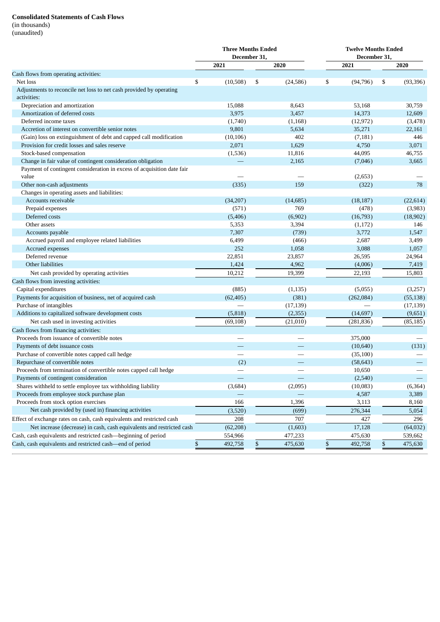# **Consolidated Statements of Cash Flows**

(in thousands)

(unaudited)

|                                                                        | <b>Three Months Ended</b><br>December 31, |           |                |           |              | <b>Twelve Months Ended</b><br>December 31, |    |           |  |
|------------------------------------------------------------------------|-------------------------------------------|-----------|----------------|-----------|--------------|--------------------------------------------|----|-----------|--|
|                                                                        |                                           | 2021      |                | 2020      |              | 2021                                       |    | 2020      |  |
| Cash flows from operating activities:                                  |                                           |           |                |           |              |                                            |    |           |  |
| Net loss                                                               | \$                                        | (10,508)  | \$             | (24, 586) | \$           | (94, 796)                                  | \$ | (93, 396) |  |
| Adjustments to reconcile net loss to net cash provided by operating    |                                           |           |                |           |              |                                            |    |           |  |
| activities:                                                            |                                           |           |                |           |              |                                            |    |           |  |
| Depreciation and amortization                                          |                                           | 15,088    |                | 8,643     |              | 53,168                                     |    | 30,759    |  |
| Amortization of deferred costs                                         |                                           | 3,975     |                | 3,457     |              | 14,373                                     |    | 12,609    |  |
| Deferred income taxes                                                  |                                           | (1,740)   |                | (1, 168)  |              | (12, 972)                                  |    | (3, 478)  |  |
| Accretion of interest on convertible senior notes                      |                                           | 9,801     |                | 5,634     |              | 35,271                                     |    | 22,161    |  |
| (Gain) loss on extinguishment of debt and capped call modification     |                                           | (10, 106) |                | 402       |              | (7, 181)                                   |    | 446       |  |
| Provision for credit losses and sales reserve                          |                                           | 2,071     |                | 1,629     |              | 4,750                                      |    | 3,071     |  |
| Stock-based compensation                                               |                                           | (1,536)   |                | 11,816    |              | 44,095                                     |    | 46,755    |  |
| Change in fair value of contingent consideration obligation            |                                           |           |                | 2,165     |              | (7,046)                                    |    | 3,665     |  |
| Payment of contingent consideration in excess of acquisition date fair |                                           |           |                |           |              |                                            |    |           |  |
| value                                                                  |                                           |           |                |           |              | (2,653)                                    |    |           |  |
| Other non-cash adjustments                                             |                                           | (335)     |                | 159       |              | (322)                                      |    | 78        |  |
| Changes in operating assets and liabilities:                           |                                           |           |                |           |              |                                            |    |           |  |
| Accounts receivable                                                    |                                           | (34, 207) |                | (14, 685) |              | (18, 187)                                  |    | (22, 614) |  |
| Prepaid expenses                                                       |                                           | (571)     |                | 769       |              | (478)                                      |    | (3,983)   |  |
| Deferred costs                                                         |                                           | (5, 406)  |                | (6,902)   |              | (16,793)                                   |    | (18,902)  |  |
| Other assets                                                           |                                           | 5,353     |                | 3,394     |              | (1,172)                                    |    | 146       |  |
| Accounts payable                                                       |                                           | 7,307     |                | (739)     |              | 3,772                                      |    | 1,547     |  |
| Accrued payroll and employee related liabilities                       |                                           | 6,499     |                | (466)     |              | 2,687                                      |    | 3,499     |  |
| Accrued expenses                                                       |                                           | 252       |                | 1,058     |              | 3,088                                      |    | 1,057     |  |
| Deferred revenue                                                       |                                           | 22,851    |                | 23,857    |              | 26,595                                     |    | 24,964    |  |
| Other liabilities                                                      |                                           | 1,424     |                | 4,962     |              | (4,006)                                    |    | 7,419     |  |
| Net cash provided by operating activities                              |                                           | 10,212    |                | 19,399    |              | 22,193                                     |    | 15,803    |  |
| Cash flows from investing activities:                                  |                                           |           |                |           |              |                                            |    |           |  |
| Capital expenditures                                                   |                                           | (885)     |                | (1, 135)  |              | (5,055)                                    |    | (3,257)   |  |
| Payments for acquisition of business, net of acquired cash             |                                           | (62, 405) |                | (381)     |              | (262,084)                                  |    | (55, 138) |  |
| Purchase of intangibles                                                |                                           |           |                | (17, 139) |              |                                            |    | (17, 139) |  |
| Additions to capitalized software development costs                    |                                           | (5,818)   |                | (2,355)   |              | (14, 697)                                  |    | (9,651)   |  |
| Net cash used in investing activities                                  |                                           | (69, 108) |                | (21,010)  |              | (281, 836)                                 |    | (85, 185) |  |
| Cash flows from financing activities:                                  |                                           |           |                |           |              |                                            |    |           |  |
| Proceeds from issuance of convertible notes                            |                                           |           |                |           |              | 375,000                                    |    |           |  |
| Payments of debt issuance costs                                        |                                           | $\equiv$  |                |           |              | (10,640)                                   |    | (131)     |  |
| Purchase of convertible notes capped call hedge                        |                                           |           |                |           |              | (35, 100)                                  |    |           |  |
| Repurchase of convertible notes                                        |                                           | (2)       |                |           |              | (58, 643)                                  |    |           |  |
| Proceeds from termination of convertible notes capped call hedge       |                                           |           |                |           |              | 10,650                                     |    |           |  |
| Payments of contingent consideration                                   |                                           |           |                |           |              | (2,540)                                    |    |           |  |
| Shares withheld to settle employee tax withholding liability           |                                           | (3,684)   |                | (2,095)   |              | (10,083)                                   |    | (6, 364)  |  |
| Proceeds from employee stock purchase plan                             |                                           |           |                |           |              | 4,587                                      |    | 3,389     |  |
| Proceeds from stock option exercises                                   |                                           | 166       |                | 1,396     |              | 3,113                                      |    | 8,160     |  |
| Net cash provided by (used in) financing activities                    |                                           | (3,520)   |                | (699)     |              | 276,344                                    |    | 5,054     |  |
| Effect of exchange rates on cash, cash equivalents and restricted cash |                                           | 208       |                | 707       |              | 427                                        |    | 296       |  |
|                                                                        |                                           |           |                |           |              |                                            |    |           |  |
| Net increase (decrease) in cash, cash equivalents and restricted cash  |                                           | (62, 208) |                | (1,603)   |              | 17,128                                     |    | (64,032)  |  |
| Cash, cash equivalents and restricted cash-beginning of period         |                                           | 554,966   |                | 477,233   |              | 475,630                                    |    | 539,662   |  |
| Cash, cash equivalents and restricted cash-end of period               | \$                                        | 492,758   | $\mathfrak{S}$ | 475,630   | $\mathbb{S}$ | 492,758                                    | \$ | 475,630   |  |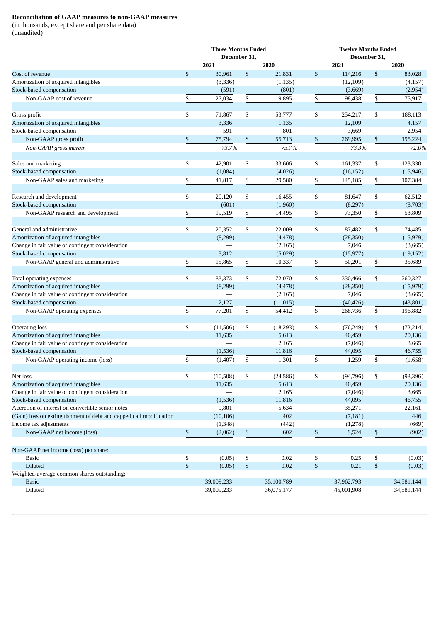# **Reconciliation of GAAP measures to non-GAAP measures**

(in thousands, except share and per share data)

(unaudited)

| December 31,<br>December 31.<br>2021<br>2020<br>2021<br>2020<br>$\mathbb{S}$<br>$\mathbb{S}$<br>\$<br>\$<br>30,961<br>21,831<br>114,216<br>83,028<br>Cost of revenue<br>Amortization of acquired intangibles<br>(3, 336)<br>(1, 135)<br>(12, 109)<br>(4, 157)<br>Stock-based compensation<br>(591)<br>(801)<br>(2,954)<br>(3,669)<br>Non-GAAP cost of revenue<br>\$<br>\$<br>19,895<br>\$<br>\$<br>75,917<br>27,034<br>98,438<br>\$<br>71,867<br>\$<br>\$<br>\$<br>188,113<br>Gross profit<br>53,777<br>254,217<br>Amortization of acquired intangibles<br>3,336<br>1,135<br>12,109<br>4,157<br>Stock-based compensation<br>591<br>801<br>3,669<br>2,954<br>\$<br>\$<br>\$<br>\$<br>Non-GAAP gross profit<br>75,794<br>55,713<br>269,995<br>195,224<br>Non-GAAP gross margin<br>73.7%<br>73.7%<br>73.3%<br>72.0%<br>\$<br>42,901<br>\$<br>33,606<br>\$<br>161,337<br>\$<br>123,330<br>Sales and marketing<br>Stock-based compensation<br>(1,084)<br>(15, 946)<br>(4,026)<br>(16, 152)<br>\$<br>\$<br>\$<br>\$<br>Non-GAAP sales and marketing<br>41,817<br>29,580<br>145,185<br>107,384<br>\$<br>\$<br>Research and development<br>20,120<br>\$<br>\$<br>16,455<br>81,647<br>62,512<br>Stock-based compensation<br>(601)<br>(1,960)<br>(8,297)<br>(8,703)<br>\$<br>\$<br>\$<br>\$<br>Non-GAAP research and development<br>19,519<br>14,495<br>73,350<br>53,809<br>\$<br>\$<br>\$<br>General and administrative<br>20,352<br>22,009<br>87,482<br>\$<br>74,485<br>Amortization of acquired intangibles<br>(8,299)<br>(4, 478)<br>(28, 350)<br>(15,979)<br>Change in fair value of contingent consideration<br>7,046<br>(2,165)<br>(3,665)<br>Stock-based compensation<br>3,812<br>(5,029)<br>(15, 977)<br>(19, 152)<br>\$<br>\$<br>\$<br>\$<br>Non-GAAP general and administrative<br>15,865<br>10,337<br>35,689<br>50,201<br>\$<br>83,373<br>\$<br>\$<br>Total operating expenses<br>72,070<br>\$<br>260,327<br>330,466<br>Amortization of acquired intangibles<br>(8,299)<br>(4, 478)<br>(28, 350)<br>(15,979)<br>Change in fair value of contingent consideration<br>7,046<br>(2,165)<br>(3,665)<br>Stock-based compensation<br>2,127<br>(43,801)<br>(11, 015)<br>(40, 426)<br>\$<br>\$<br>\$<br>\$<br>268,736<br>Non-GAAP operating expenses<br>77,201<br>54,412<br>196,882<br>\$<br>\$<br><b>Operating loss</b><br>(11,506)<br>\$<br>(18, 293)<br>(76, 249)<br>\$<br>(72, 214)<br>Amortization of acquired intangibles<br>11,635<br>5,613<br>40,459<br>20,136<br>Change in fair value of contingent consideration<br>2,165<br>3,665<br>(7,046)<br>Stock-based compensation<br>(1,536)<br>11,816<br>44,095<br>46,755<br>\$<br>\$<br>Non-GAAP operating income (loss)<br>\$<br>1,301<br>1,259<br>\$<br>(1,658)<br>(1,407)<br>\$<br>(10, 508)<br>(24, 586)<br>\$<br>(94, 796)<br>(93, 396)<br>Net loss<br>Amortization of acquired intangibles<br>11,635<br>5,613<br>40,459<br>20,136<br>Change in fair value of contingent consideration<br>3,665<br>2,165<br>(7,046)<br>Stock-based compensation<br>11,816<br>44,095<br>46,755<br>(1,536)<br>Accretion of interest on convertible senior notes<br>9,801<br>5,634<br>35,271<br>22,161<br>(Gain) loss on extinguishment of debt and capped call modification<br>(10, 106)<br>402<br>(7, 181)<br>446<br>Income tax adjustments<br>(1, 348)<br>(442)<br>(1,278)<br>(669)<br>\$<br>$\mathbb{S}$<br>\$<br>\$<br>9,524<br>Non-GAAP net income (loss)<br>(2,062)<br>602<br>(902)<br>Non-GAAP net income (loss) per share:<br>\$<br>0.02<br>\$<br>(0.03)<br><b>Basic</b><br>\$<br>(0.05)<br>0.25<br>\$<br>\$<br>${\mathbb S}$<br>$\mathbb{S}$<br>${\mathbb S}$<br><b>Diluted</b><br>(0.05)<br>0.02<br>0.21<br>(0.03)<br>Weighted-average common shares outstanding:<br>39,009,233<br>35,100,789<br>37,962,793<br>34,581,144<br><b>Basic</b><br>Diluted<br>36,075,177<br>39,009,233<br>45,001,908<br>34,581,144 | <b>Three Months Ended</b> |  |  |  |  | <b>Twelve Months Ended</b> |  |  |  |  |  |
|---------------------------------------------------------------------------------------------------------------------------------------------------------------------------------------------------------------------------------------------------------------------------------------------------------------------------------------------------------------------------------------------------------------------------------------------------------------------------------------------------------------------------------------------------------------------------------------------------------------------------------------------------------------------------------------------------------------------------------------------------------------------------------------------------------------------------------------------------------------------------------------------------------------------------------------------------------------------------------------------------------------------------------------------------------------------------------------------------------------------------------------------------------------------------------------------------------------------------------------------------------------------------------------------------------------------------------------------------------------------------------------------------------------------------------------------------------------------------------------------------------------------------------------------------------------------------------------------------------------------------------------------------------------------------------------------------------------------------------------------------------------------------------------------------------------------------------------------------------------------------------------------------------------------------------------------------------------------------------------------------------------------------------------------------------------------------------------------------------------------------------------------------------------------------------------------------------------------------------------------------------------------------------------------------------------------------------------------------------------------------------------------------------------------------------------------------------------------------------------------------------------------------------------------------------------------------------------------------------------------------------------------------------------------------------------------------------------------------------------------------------------------------------------------------------------------------------------------------------------------------------------------------------------------------------------------------------------------------------------------------------------------------------------------------------------------------------------------------------------------------------------------------------------------------------------------------------------------------------------------------------------------------------------------------------------------------------------------------------------------------------------------------------------------------------------------------------------------------------------------------------------------------------------------------------------------------------------------------------------------------------------------------------------------------------------------------------------------------------------------------------------------------------------------------------------------------------------------------------|---------------------------|--|--|--|--|----------------------------|--|--|--|--|--|
|                                                                                                                                                                                                                                                                                                                                                                                                                                                                                                                                                                                                                                                                                                                                                                                                                                                                                                                                                                                                                                                                                                                                                                                                                                                                                                                                                                                                                                                                                                                                                                                                                                                                                                                                                                                                                                                                                                                                                                                                                                                                                                                                                                                                                                                                                                                                                                                                                                                                                                                                                                                                                                                                                                                                                                                                                                                                                                                                                                                                                                                                                                                                                                                                                                                                                                                                                                                                                                                                                                                                                                                                                                                                                                                                                                                                                                                         |                           |  |  |  |  |                            |  |  |  |  |  |
|                                                                                                                                                                                                                                                                                                                                                                                                                                                                                                                                                                                                                                                                                                                                                                                                                                                                                                                                                                                                                                                                                                                                                                                                                                                                                                                                                                                                                                                                                                                                                                                                                                                                                                                                                                                                                                                                                                                                                                                                                                                                                                                                                                                                                                                                                                                                                                                                                                                                                                                                                                                                                                                                                                                                                                                                                                                                                                                                                                                                                                                                                                                                                                                                                                                                                                                                                                                                                                                                                                                                                                                                                                                                                                                                                                                                                                                         |                           |  |  |  |  |                            |  |  |  |  |  |
|                                                                                                                                                                                                                                                                                                                                                                                                                                                                                                                                                                                                                                                                                                                                                                                                                                                                                                                                                                                                                                                                                                                                                                                                                                                                                                                                                                                                                                                                                                                                                                                                                                                                                                                                                                                                                                                                                                                                                                                                                                                                                                                                                                                                                                                                                                                                                                                                                                                                                                                                                                                                                                                                                                                                                                                                                                                                                                                                                                                                                                                                                                                                                                                                                                                                                                                                                                                                                                                                                                                                                                                                                                                                                                                                                                                                                                                         |                           |  |  |  |  |                            |  |  |  |  |  |
|                                                                                                                                                                                                                                                                                                                                                                                                                                                                                                                                                                                                                                                                                                                                                                                                                                                                                                                                                                                                                                                                                                                                                                                                                                                                                                                                                                                                                                                                                                                                                                                                                                                                                                                                                                                                                                                                                                                                                                                                                                                                                                                                                                                                                                                                                                                                                                                                                                                                                                                                                                                                                                                                                                                                                                                                                                                                                                                                                                                                                                                                                                                                                                                                                                                                                                                                                                                                                                                                                                                                                                                                                                                                                                                                                                                                                                                         |                           |  |  |  |  |                            |  |  |  |  |  |
|                                                                                                                                                                                                                                                                                                                                                                                                                                                                                                                                                                                                                                                                                                                                                                                                                                                                                                                                                                                                                                                                                                                                                                                                                                                                                                                                                                                                                                                                                                                                                                                                                                                                                                                                                                                                                                                                                                                                                                                                                                                                                                                                                                                                                                                                                                                                                                                                                                                                                                                                                                                                                                                                                                                                                                                                                                                                                                                                                                                                                                                                                                                                                                                                                                                                                                                                                                                                                                                                                                                                                                                                                                                                                                                                                                                                                                                         |                           |  |  |  |  |                            |  |  |  |  |  |
|                                                                                                                                                                                                                                                                                                                                                                                                                                                                                                                                                                                                                                                                                                                                                                                                                                                                                                                                                                                                                                                                                                                                                                                                                                                                                                                                                                                                                                                                                                                                                                                                                                                                                                                                                                                                                                                                                                                                                                                                                                                                                                                                                                                                                                                                                                                                                                                                                                                                                                                                                                                                                                                                                                                                                                                                                                                                                                                                                                                                                                                                                                                                                                                                                                                                                                                                                                                                                                                                                                                                                                                                                                                                                                                                                                                                                                                         |                           |  |  |  |  |                            |  |  |  |  |  |
|                                                                                                                                                                                                                                                                                                                                                                                                                                                                                                                                                                                                                                                                                                                                                                                                                                                                                                                                                                                                                                                                                                                                                                                                                                                                                                                                                                                                                                                                                                                                                                                                                                                                                                                                                                                                                                                                                                                                                                                                                                                                                                                                                                                                                                                                                                                                                                                                                                                                                                                                                                                                                                                                                                                                                                                                                                                                                                                                                                                                                                                                                                                                                                                                                                                                                                                                                                                                                                                                                                                                                                                                                                                                                                                                                                                                                                                         |                           |  |  |  |  |                            |  |  |  |  |  |
|                                                                                                                                                                                                                                                                                                                                                                                                                                                                                                                                                                                                                                                                                                                                                                                                                                                                                                                                                                                                                                                                                                                                                                                                                                                                                                                                                                                                                                                                                                                                                                                                                                                                                                                                                                                                                                                                                                                                                                                                                                                                                                                                                                                                                                                                                                                                                                                                                                                                                                                                                                                                                                                                                                                                                                                                                                                                                                                                                                                                                                                                                                                                                                                                                                                                                                                                                                                                                                                                                                                                                                                                                                                                                                                                                                                                                                                         |                           |  |  |  |  |                            |  |  |  |  |  |
|                                                                                                                                                                                                                                                                                                                                                                                                                                                                                                                                                                                                                                                                                                                                                                                                                                                                                                                                                                                                                                                                                                                                                                                                                                                                                                                                                                                                                                                                                                                                                                                                                                                                                                                                                                                                                                                                                                                                                                                                                                                                                                                                                                                                                                                                                                                                                                                                                                                                                                                                                                                                                                                                                                                                                                                                                                                                                                                                                                                                                                                                                                                                                                                                                                                                                                                                                                                                                                                                                                                                                                                                                                                                                                                                                                                                                                                         |                           |  |  |  |  |                            |  |  |  |  |  |
|                                                                                                                                                                                                                                                                                                                                                                                                                                                                                                                                                                                                                                                                                                                                                                                                                                                                                                                                                                                                                                                                                                                                                                                                                                                                                                                                                                                                                                                                                                                                                                                                                                                                                                                                                                                                                                                                                                                                                                                                                                                                                                                                                                                                                                                                                                                                                                                                                                                                                                                                                                                                                                                                                                                                                                                                                                                                                                                                                                                                                                                                                                                                                                                                                                                                                                                                                                                                                                                                                                                                                                                                                                                                                                                                                                                                                                                         |                           |  |  |  |  |                            |  |  |  |  |  |
|                                                                                                                                                                                                                                                                                                                                                                                                                                                                                                                                                                                                                                                                                                                                                                                                                                                                                                                                                                                                                                                                                                                                                                                                                                                                                                                                                                                                                                                                                                                                                                                                                                                                                                                                                                                                                                                                                                                                                                                                                                                                                                                                                                                                                                                                                                                                                                                                                                                                                                                                                                                                                                                                                                                                                                                                                                                                                                                                                                                                                                                                                                                                                                                                                                                                                                                                                                                                                                                                                                                                                                                                                                                                                                                                                                                                                                                         |                           |  |  |  |  |                            |  |  |  |  |  |
|                                                                                                                                                                                                                                                                                                                                                                                                                                                                                                                                                                                                                                                                                                                                                                                                                                                                                                                                                                                                                                                                                                                                                                                                                                                                                                                                                                                                                                                                                                                                                                                                                                                                                                                                                                                                                                                                                                                                                                                                                                                                                                                                                                                                                                                                                                                                                                                                                                                                                                                                                                                                                                                                                                                                                                                                                                                                                                                                                                                                                                                                                                                                                                                                                                                                                                                                                                                                                                                                                                                                                                                                                                                                                                                                                                                                                                                         |                           |  |  |  |  |                            |  |  |  |  |  |
|                                                                                                                                                                                                                                                                                                                                                                                                                                                                                                                                                                                                                                                                                                                                                                                                                                                                                                                                                                                                                                                                                                                                                                                                                                                                                                                                                                                                                                                                                                                                                                                                                                                                                                                                                                                                                                                                                                                                                                                                                                                                                                                                                                                                                                                                                                                                                                                                                                                                                                                                                                                                                                                                                                                                                                                                                                                                                                                                                                                                                                                                                                                                                                                                                                                                                                                                                                                                                                                                                                                                                                                                                                                                                                                                                                                                                                                         |                           |  |  |  |  |                            |  |  |  |  |  |
|                                                                                                                                                                                                                                                                                                                                                                                                                                                                                                                                                                                                                                                                                                                                                                                                                                                                                                                                                                                                                                                                                                                                                                                                                                                                                                                                                                                                                                                                                                                                                                                                                                                                                                                                                                                                                                                                                                                                                                                                                                                                                                                                                                                                                                                                                                                                                                                                                                                                                                                                                                                                                                                                                                                                                                                                                                                                                                                                                                                                                                                                                                                                                                                                                                                                                                                                                                                                                                                                                                                                                                                                                                                                                                                                                                                                                                                         |                           |  |  |  |  |                            |  |  |  |  |  |
|                                                                                                                                                                                                                                                                                                                                                                                                                                                                                                                                                                                                                                                                                                                                                                                                                                                                                                                                                                                                                                                                                                                                                                                                                                                                                                                                                                                                                                                                                                                                                                                                                                                                                                                                                                                                                                                                                                                                                                                                                                                                                                                                                                                                                                                                                                                                                                                                                                                                                                                                                                                                                                                                                                                                                                                                                                                                                                                                                                                                                                                                                                                                                                                                                                                                                                                                                                                                                                                                                                                                                                                                                                                                                                                                                                                                                                                         |                           |  |  |  |  |                            |  |  |  |  |  |
|                                                                                                                                                                                                                                                                                                                                                                                                                                                                                                                                                                                                                                                                                                                                                                                                                                                                                                                                                                                                                                                                                                                                                                                                                                                                                                                                                                                                                                                                                                                                                                                                                                                                                                                                                                                                                                                                                                                                                                                                                                                                                                                                                                                                                                                                                                                                                                                                                                                                                                                                                                                                                                                                                                                                                                                                                                                                                                                                                                                                                                                                                                                                                                                                                                                                                                                                                                                                                                                                                                                                                                                                                                                                                                                                                                                                                                                         |                           |  |  |  |  |                            |  |  |  |  |  |
|                                                                                                                                                                                                                                                                                                                                                                                                                                                                                                                                                                                                                                                                                                                                                                                                                                                                                                                                                                                                                                                                                                                                                                                                                                                                                                                                                                                                                                                                                                                                                                                                                                                                                                                                                                                                                                                                                                                                                                                                                                                                                                                                                                                                                                                                                                                                                                                                                                                                                                                                                                                                                                                                                                                                                                                                                                                                                                                                                                                                                                                                                                                                                                                                                                                                                                                                                                                                                                                                                                                                                                                                                                                                                                                                                                                                                                                         |                           |  |  |  |  |                            |  |  |  |  |  |
|                                                                                                                                                                                                                                                                                                                                                                                                                                                                                                                                                                                                                                                                                                                                                                                                                                                                                                                                                                                                                                                                                                                                                                                                                                                                                                                                                                                                                                                                                                                                                                                                                                                                                                                                                                                                                                                                                                                                                                                                                                                                                                                                                                                                                                                                                                                                                                                                                                                                                                                                                                                                                                                                                                                                                                                                                                                                                                                                                                                                                                                                                                                                                                                                                                                                                                                                                                                                                                                                                                                                                                                                                                                                                                                                                                                                                                                         |                           |  |  |  |  |                            |  |  |  |  |  |
|                                                                                                                                                                                                                                                                                                                                                                                                                                                                                                                                                                                                                                                                                                                                                                                                                                                                                                                                                                                                                                                                                                                                                                                                                                                                                                                                                                                                                                                                                                                                                                                                                                                                                                                                                                                                                                                                                                                                                                                                                                                                                                                                                                                                                                                                                                                                                                                                                                                                                                                                                                                                                                                                                                                                                                                                                                                                                                                                                                                                                                                                                                                                                                                                                                                                                                                                                                                                                                                                                                                                                                                                                                                                                                                                                                                                                                                         |                           |  |  |  |  |                            |  |  |  |  |  |
|                                                                                                                                                                                                                                                                                                                                                                                                                                                                                                                                                                                                                                                                                                                                                                                                                                                                                                                                                                                                                                                                                                                                                                                                                                                                                                                                                                                                                                                                                                                                                                                                                                                                                                                                                                                                                                                                                                                                                                                                                                                                                                                                                                                                                                                                                                                                                                                                                                                                                                                                                                                                                                                                                                                                                                                                                                                                                                                                                                                                                                                                                                                                                                                                                                                                                                                                                                                                                                                                                                                                                                                                                                                                                                                                                                                                                                                         |                           |  |  |  |  |                            |  |  |  |  |  |
|                                                                                                                                                                                                                                                                                                                                                                                                                                                                                                                                                                                                                                                                                                                                                                                                                                                                                                                                                                                                                                                                                                                                                                                                                                                                                                                                                                                                                                                                                                                                                                                                                                                                                                                                                                                                                                                                                                                                                                                                                                                                                                                                                                                                                                                                                                                                                                                                                                                                                                                                                                                                                                                                                                                                                                                                                                                                                                                                                                                                                                                                                                                                                                                                                                                                                                                                                                                                                                                                                                                                                                                                                                                                                                                                                                                                                                                         |                           |  |  |  |  |                            |  |  |  |  |  |
|                                                                                                                                                                                                                                                                                                                                                                                                                                                                                                                                                                                                                                                                                                                                                                                                                                                                                                                                                                                                                                                                                                                                                                                                                                                                                                                                                                                                                                                                                                                                                                                                                                                                                                                                                                                                                                                                                                                                                                                                                                                                                                                                                                                                                                                                                                                                                                                                                                                                                                                                                                                                                                                                                                                                                                                                                                                                                                                                                                                                                                                                                                                                                                                                                                                                                                                                                                                                                                                                                                                                                                                                                                                                                                                                                                                                                                                         |                           |  |  |  |  |                            |  |  |  |  |  |
|                                                                                                                                                                                                                                                                                                                                                                                                                                                                                                                                                                                                                                                                                                                                                                                                                                                                                                                                                                                                                                                                                                                                                                                                                                                                                                                                                                                                                                                                                                                                                                                                                                                                                                                                                                                                                                                                                                                                                                                                                                                                                                                                                                                                                                                                                                                                                                                                                                                                                                                                                                                                                                                                                                                                                                                                                                                                                                                                                                                                                                                                                                                                                                                                                                                                                                                                                                                                                                                                                                                                                                                                                                                                                                                                                                                                                                                         |                           |  |  |  |  |                            |  |  |  |  |  |
|                                                                                                                                                                                                                                                                                                                                                                                                                                                                                                                                                                                                                                                                                                                                                                                                                                                                                                                                                                                                                                                                                                                                                                                                                                                                                                                                                                                                                                                                                                                                                                                                                                                                                                                                                                                                                                                                                                                                                                                                                                                                                                                                                                                                                                                                                                                                                                                                                                                                                                                                                                                                                                                                                                                                                                                                                                                                                                                                                                                                                                                                                                                                                                                                                                                                                                                                                                                                                                                                                                                                                                                                                                                                                                                                                                                                                                                         |                           |  |  |  |  |                            |  |  |  |  |  |
|                                                                                                                                                                                                                                                                                                                                                                                                                                                                                                                                                                                                                                                                                                                                                                                                                                                                                                                                                                                                                                                                                                                                                                                                                                                                                                                                                                                                                                                                                                                                                                                                                                                                                                                                                                                                                                                                                                                                                                                                                                                                                                                                                                                                                                                                                                                                                                                                                                                                                                                                                                                                                                                                                                                                                                                                                                                                                                                                                                                                                                                                                                                                                                                                                                                                                                                                                                                                                                                                                                                                                                                                                                                                                                                                                                                                                                                         |                           |  |  |  |  |                            |  |  |  |  |  |
|                                                                                                                                                                                                                                                                                                                                                                                                                                                                                                                                                                                                                                                                                                                                                                                                                                                                                                                                                                                                                                                                                                                                                                                                                                                                                                                                                                                                                                                                                                                                                                                                                                                                                                                                                                                                                                                                                                                                                                                                                                                                                                                                                                                                                                                                                                                                                                                                                                                                                                                                                                                                                                                                                                                                                                                                                                                                                                                                                                                                                                                                                                                                                                                                                                                                                                                                                                                                                                                                                                                                                                                                                                                                                                                                                                                                                                                         |                           |  |  |  |  |                            |  |  |  |  |  |
|                                                                                                                                                                                                                                                                                                                                                                                                                                                                                                                                                                                                                                                                                                                                                                                                                                                                                                                                                                                                                                                                                                                                                                                                                                                                                                                                                                                                                                                                                                                                                                                                                                                                                                                                                                                                                                                                                                                                                                                                                                                                                                                                                                                                                                                                                                                                                                                                                                                                                                                                                                                                                                                                                                                                                                                                                                                                                                                                                                                                                                                                                                                                                                                                                                                                                                                                                                                                                                                                                                                                                                                                                                                                                                                                                                                                                                                         |                           |  |  |  |  |                            |  |  |  |  |  |
|                                                                                                                                                                                                                                                                                                                                                                                                                                                                                                                                                                                                                                                                                                                                                                                                                                                                                                                                                                                                                                                                                                                                                                                                                                                                                                                                                                                                                                                                                                                                                                                                                                                                                                                                                                                                                                                                                                                                                                                                                                                                                                                                                                                                                                                                                                                                                                                                                                                                                                                                                                                                                                                                                                                                                                                                                                                                                                                                                                                                                                                                                                                                                                                                                                                                                                                                                                                                                                                                                                                                                                                                                                                                                                                                                                                                                                                         |                           |  |  |  |  |                            |  |  |  |  |  |
|                                                                                                                                                                                                                                                                                                                                                                                                                                                                                                                                                                                                                                                                                                                                                                                                                                                                                                                                                                                                                                                                                                                                                                                                                                                                                                                                                                                                                                                                                                                                                                                                                                                                                                                                                                                                                                                                                                                                                                                                                                                                                                                                                                                                                                                                                                                                                                                                                                                                                                                                                                                                                                                                                                                                                                                                                                                                                                                                                                                                                                                                                                                                                                                                                                                                                                                                                                                                                                                                                                                                                                                                                                                                                                                                                                                                                                                         |                           |  |  |  |  |                            |  |  |  |  |  |
|                                                                                                                                                                                                                                                                                                                                                                                                                                                                                                                                                                                                                                                                                                                                                                                                                                                                                                                                                                                                                                                                                                                                                                                                                                                                                                                                                                                                                                                                                                                                                                                                                                                                                                                                                                                                                                                                                                                                                                                                                                                                                                                                                                                                                                                                                                                                                                                                                                                                                                                                                                                                                                                                                                                                                                                                                                                                                                                                                                                                                                                                                                                                                                                                                                                                                                                                                                                                                                                                                                                                                                                                                                                                                                                                                                                                                                                         |                           |  |  |  |  |                            |  |  |  |  |  |
|                                                                                                                                                                                                                                                                                                                                                                                                                                                                                                                                                                                                                                                                                                                                                                                                                                                                                                                                                                                                                                                                                                                                                                                                                                                                                                                                                                                                                                                                                                                                                                                                                                                                                                                                                                                                                                                                                                                                                                                                                                                                                                                                                                                                                                                                                                                                                                                                                                                                                                                                                                                                                                                                                                                                                                                                                                                                                                                                                                                                                                                                                                                                                                                                                                                                                                                                                                                                                                                                                                                                                                                                                                                                                                                                                                                                                                                         |                           |  |  |  |  |                            |  |  |  |  |  |
|                                                                                                                                                                                                                                                                                                                                                                                                                                                                                                                                                                                                                                                                                                                                                                                                                                                                                                                                                                                                                                                                                                                                                                                                                                                                                                                                                                                                                                                                                                                                                                                                                                                                                                                                                                                                                                                                                                                                                                                                                                                                                                                                                                                                                                                                                                                                                                                                                                                                                                                                                                                                                                                                                                                                                                                                                                                                                                                                                                                                                                                                                                                                                                                                                                                                                                                                                                                                                                                                                                                                                                                                                                                                                                                                                                                                                                                         |                           |  |  |  |  |                            |  |  |  |  |  |
|                                                                                                                                                                                                                                                                                                                                                                                                                                                                                                                                                                                                                                                                                                                                                                                                                                                                                                                                                                                                                                                                                                                                                                                                                                                                                                                                                                                                                                                                                                                                                                                                                                                                                                                                                                                                                                                                                                                                                                                                                                                                                                                                                                                                                                                                                                                                                                                                                                                                                                                                                                                                                                                                                                                                                                                                                                                                                                                                                                                                                                                                                                                                                                                                                                                                                                                                                                                                                                                                                                                                                                                                                                                                                                                                                                                                                                                         |                           |  |  |  |  |                            |  |  |  |  |  |
|                                                                                                                                                                                                                                                                                                                                                                                                                                                                                                                                                                                                                                                                                                                                                                                                                                                                                                                                                                                                                                                                                                                                                                                                                                                                                                                                                                                                                                                                                                                                                                                                                                                                                                                                                                                                                                                                                                                                                                                                                                                                                                                                                                                                                                                                                                                                                                                                                                                                                                                                                                                                                                                                                                                                                                                                                                                                                                                                                                                                                                                                                                                                                                                                                                                                                                                                                                                                                                                                                                                                                                                                                                                                                                                                                                                                                                                         |                           |  |  |  |  |                            |  |  |  |  |  |
|                                                                                                                                                                                                                                                                                                                                                                                                                                                                                                                                                                                                                                                                                                                                                                                                                                                                                                                                                                                                                                                                                                                                                                                                                                                                                                                                                                                                                                                                                                                                                                                                                                                                                                                                                                                                                                                                                                                                                                                                                                                                                                                                                                                                                                                                                                                                                                                                                                                                                                                                                                                                                                                                                                                                                                                                                                                                                                                                                                                                                                                                                                                                                                                                                                                                                                                                                                                                                                                                                                                                                                                                                                                                                                                                                                                                                                                         |                           |  |  |  |  |                            |  |  |  |  |  |
|                                                                                                                                                                                                                                                                                                                                                                                                                                                                                                                                                                                                                                                                                                                                                                                                                                                                                                                                                                                                                                                                                                                                                                                                                                                                                                                                                                                                                                                                                                                                                                                                                                                                                                                                                                                                                                                                                                                                                                                                                                                                                                                                                                                                                                                                                                                                                                                                                                                                                                                                                                                                                                                                                                                                                                                                                                                                                                                                                                                                                                                                                                                                                                                                                                                                                                                                                                                                                                                                                                                                                                                                                                                                                                                                                                                                                                                         |                           |  |  |  |  |                            |  |  |  |  |  |
|                                                                                                                                                                                                                                                                                                                                                                                                                                                                                                                                                                                                                                                                                                                                                                                                                                                                                                                                                                                                                                                                                                                                                                                                                                                                                                                                                                                                                                                                                                                                                                                                                                                                                                                                                                                                                                                                                                                                                                                                                                                                                                                                                                                                                                                                                                                                                                                                                                                                                                                                                                                                                                                                                                                                                                                                                                                                                                                                                                                                                                                                                                                                                                                                                                                                                                                                                                                                                                                                                                                                                                                                                                                                                                                                                                                                                                                         |                           |  |  |  |  |                            |  |  |  |  |  |
|                                                                                                                                                                                                                                                                                                                                                                                                                                                                                                                                                                                                                                                                                                                                                                                                                                                                                                                                                                                                                                                                                                                                                                                                                                                                                                                                                                                                                                                                                                                                                                                                                                                                                                                                                                                                                                                                                                                                                                                                                                                                                                                                                                                                                                                                                                                                                                                                                                                                                                                                                                                                                                                                                                                                                                                                                                                                                                                                                                                                                                                                                                                                                                                                                                                                                                                                                                                                                                                                                                                                                                                                                                                                                                                                                                                                                                                         |                           |  |  |  |  |                            |  |  |  |  |  |
|                                                                                                                                                                                                                                                                                                                                                                                                                                                                                                                                                                                                                                                                                                                                                                                                                                                                                                                                                                                                                                                                                                                                                                                                                                                                                                                                                                                                                                                                                                                                                                                                                                                                                                                                                                                                                                                                                                                                                                                                                                                                                                                                                                                                                                                                                                                                                                                                                                                                                                                                                                                                                                                                                                                                                                                                                                                                                                                                                                                                                                                                                                                                                                                                                                                                                                                                                                                                                                                                                                                                                                                                                                                                                                                                                                                                                                                         |                           |  |  |  |  |                            |  |  |  |  |  |
|                                                                                                                                                                                                                                                                                                                                                                                                                                                                                                                                                                                                                                                                                                                                                                                                                                                                                                                                                                                                                                                                                                                                                                                                                                                                                                                                                                                                                                                                                                                                                                                                                                                                                                                                                                                                                                                                                                                                                                                                                                                                                                                                                                                                                                                                                                                                                                                                                                                                                                                                                                                                                                                                                                                                                                                                                                                                                                                                                                                                                                                                                                                                                                                                                                                                                                                                                                                                                                                                                                                                                                                                                                                                                                                                                                                                                                                         |                           |  |  |  |  |                            |  |  |  |  |  |
|                                                                                                                                                                                                                                                                                                                                                                                                                                                                                                                                                                                                                                                                                                                                                                                                                                                                                                                                                                                                                                                                                                                                                                                                                                                                                                                                                                                                                                                                                                                                                                                                                                                                                                                                                                                                                                                                                                                                                                                                                                                                                                                                                                                                                                                                                                                                                                                                                                                                                                                                                                                                                                                                                                                                                                                                                                                                                                                                                                                                                                                                                                                                                                                                                                                                                                                                                                                                                                                                                                                                                                                                                                                                                                                                                                                                                                                         |                           |  |  |  |  |                            |  |  |  |  |  |
|                                                                                                                                                                                                                                                                                                                                                                                                                                                                                                                                                                                                                                                                                                                                                                                                                                                                                                                                                                                                                                                                                                                                                                                                                                                                                                                                                                                                                                                                                                                                                                                                                                                                                                                                                                                                                                                                                                                                                                                                                                                                                                                                                                                                                                                                                                                                                                                                                                                                                                                                                                                                                                                                                                                                                                                                                                                                                                                                                                                                                                                                                                                                                                                                                                                                                                                                                                                                                                                                                                                                                                                                                                                                                                                                                                                                                                                         |                           |  |  |  |  |                            |  |  |  |  |  |
|                                                                                                                                                                                                                                                                                                                                                                                                                                                                                                                                                                                                                                                                                                                                                                                                                                                                                                                                                                                                                                                                                                                                                                                                                                                                                                                                                                                                                                                                                                                                                                                                                                                                                                                                                                                                                                                                                                                                                                                                                                                                                                                                                                                                                                                                                                                                                                                                                                                                                                                                                                                                                                                                                                                                                                                                                                                                                                                                                                                                                                                                                                                                                                                                                                                                                                                                                                                                                                                                                                                                                                                                                                                                                                                                                                                                                                                         |                           |  |  |  |  |                            |  |  |  |  |  |
|                                                                                                                                                                                                                                                                                                                                                                                                                                                                                                                                                                                                                                                                                                                                                                                                                                                                                                                                                                                                                                                                                                                                                                                                                                                                                                                                                                                                                                                                                                                                                                                                                                                                                                                                                                                                                                                                                                                                                                                                                                                                                                                                                                                                                                                                                                                                                                                                                                                                                                                                                                                                                                                                                                                                                                                                                                                                                                                                                                                                                                                                                                                                                                                                                                                                                                                                                                                                                                                                                                                                                                                                                                                                                                                                                                                                                                                         |                           |  |  |  |  |                            |  |  |  |  |  |
|                                                                                                                                                                                                                                                                                                                                                                                                                                                                                                                                                                                                                                                                                                                                                                                                                                                                                                                                                                                                                                                                                                                                                                                                                                                                                                                                                                                                                                                                                                                                                                                                                                                                                                                                                                                                                                                                                                                                                                                                                                                                                                                                                                                                                                                                                                                                                                                                                                                                                                                                                                                                                                                                                                                                                                                                                                                                                                                                                                                                                                                                                                                                                                                                                                                                                                                                                                                                                                                                                                                                                                                                                                                                                                                                                                                                                                                         |                           |  |  |  |  |                            |  |  |  |  |  |
|                                                                                                                                                                                                                                                                                                                                                                                                                                                                                                                                                                                                                                                                                                                                                                                                                                                                                                                                                                                                                                                                                                                                                                                                                                                                                                                                                                                                                                                                                                                                                                                                                                                                                                                                                                                                                                                                                                                                                                                                                                                                                                                                                                                                                                                                                                                                                                                                                                                                                                                                                                                                                                                                                                                                                                                                                                                                                                                                                                                                                                                                                                                                                                                                                                                                                                                                                                                                                                                                                                                                                                                                                                                                                                                                                                                                                                                         |                           |  |  |  |  |                            |  |  |  |  |  |
|                                                                                                                                                                                                                                                                                                                                                                                                                                                                                                                                                                                                                                                                                                                                                                                                                                                                                                                                                                                                                                                                                                                                                                                                                                                                                                                                                                                                                                                                                                                                                                                                                                                                                                                                                                                                                                                                                                                                                                                                                                                                                                                                                                                                                                                                                                                                                                                                                                                                                                                                                                                                                                                                                                                                                                                                                                                                                                                                                                                                                                                                                                                                                                                                                                                                                                                                                                                                                                                                                                                                                                                                                                                                                                                                                                                                                                                         |                           |  |  |  |  |                            |  |  |  |  |  |
|                                                                                                                                                                                                                                                                                                                                                                                                                                                                                                                                                                                                                                                                                                                                                                                                                                                                                                                                                                                                                                                                                                                                                                                                                                                                                                                                                                                                                                                                                                                                                                                                                                                                                                                                                                                                                                                                                                                                                                                                                                                                                                                                                                                                                                                                                                                                                                                                                                                                                                                                                                                                                                                                                                                                                                                                                                                                                                                                                                                                                                                                                                                                                                                                                                                                                                                                                                                                                                                                                                                                                                                                                                                                                                                                                                                                                                                         |                           |  |  |  |  |                            |  |  |  |  |  |
|                                                                                                                                                                                                                                                                                                                                                                                                                                                                                                                                                                                                                                                                                                                                                                                                                                                                                                                                                                                                                                                                                                                                                                                                                                                                                                                                                                                                                                                                                                                                                                                                                                                                                                                                                                                                                                                                                                                                                                                                                                                                                                                                                                                                                                                                                                                                                                                                                                                                                                                                                                                                                                                                                                                                                                                                                                                                                                                                                                                                                                                                                                                                                                                                                                                                                                                                                                                                                                                                                                                                                                                                                                                                                                                                                                                                                                                         |                           |  |  |  |  |                            |  |  |  |  |  |
|                                                                                                                                                                                                                                                                                                                                                                                                                                                                                                                                                                                                                                                                                                                                                                                                                                                                                                                                                                                                                                                                                                                                                                                                                                                                                                                                                                                                                                                                                                                                                                                                                                                                                                                                                                                                                                                                                                                                                                                                                                                                                                                                                                                                                                                                                                                                                                                                                                                                                                                                                                                                                                                                                                                                                                                                                                                                                                                                                                                                                                                                                                                                                                                                                                                                                                                                                                                                                                                                                                                                                                                                                                                                                                                                                                                                                                                         |                           |  |  |  |  |                            |  |  |  |  |  |
|                                                                                                                                                                                                                                                                                                                                                                                                                                                                                                                                                                                                                                                                                                                                                                                                                                                                                                                                                                                                                                                                                                                                                                                                                                                                                                                                                                                                                                                                                                                                                                                                                                                                                                                                                                                                                                                                                                                                                                                                                                                                                                                                                                                                                                                                                                                                                                                                                                                                                                                                                                                                                                                                                                                                                                                                                                                                                                                                                                                                                                                                                                                                                                                                                                                                                                                                                                                                                                                                                                                                                                                                                                                                                                                                                                                                                                                         |                           |  |  |  |  |                            |  |  |  |  |  |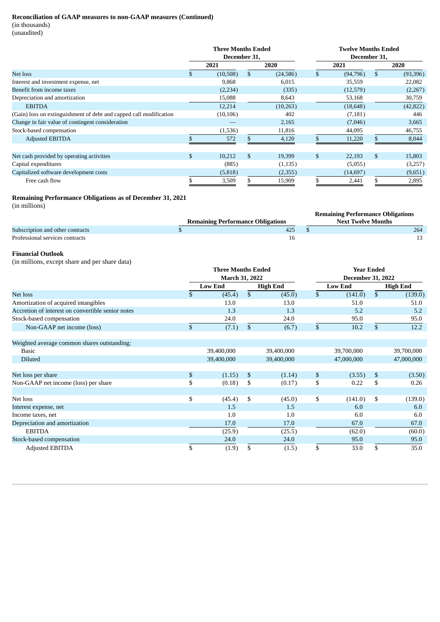# **Reconciliation of GAAP measures to non-GAAP measures (Continued)**

(in thousands)

(unaudited)

|                                                                    | <b>Three Months Ended</b><br>December 31, |           |              |           | <b>Twelve Months Ended</b><br>December 31, |           |              |           |  |
|--------------------------------------------------------------------|-------------------------------------------|-----------|--------------|-----------|--------------------------------------------|-----------|--------------|-----------|--|
|                                                                    |                                           | 2021      |              | 2020      |                                            | 2021      |              | 2020      |  |
| Net loss                                                           | S                                         | (10,508)  |              | (24, 586) |                                            | (94,796)  | $\mathbb{S}$ | (93,396)  |  |
| Interest and investment expense, net                               |                                           | 9,868     |              | 6,015     |                                            | 35,559    |              | 22,082    |  |
| Benefit from income taxes                                          |                                           | (2,234)   |              | (335)     |                                            | (12,579)  |              | (2,267)   |  |
| Depreciation and amortization                                      |                                           | 15,088    |              | 8,643     |                                            | 53,168    |              | 30,759    |  |
| <b>EBITDA</b>                                                      |                                           | 12,214    |              | (10, 263) |                                            | (18, 648) |              | (42, 822) |  |
| (Gain) loss on extinguishment of debt and capped call modification |                                           | (10, 106) |              | 402       |                                            | (7, 181)  |              | 446       |  |
| Change in fair value of contingent consideration                   |                                           |           |              | 2,165     |                                            | (7,046)   |              | 3,665     |  |
| Stock-based compensation                                           |                                           | (1,536)   |              | 11,816    |                                            | 44,095    |              | 46,755    |  |
| Adjusted EBITDA                                                    |                                           | 572       |              | 4,120     |                                            | 11,220    |              | 8,044     |  |
| Net cash provided by operating activities                          | \$                                        | 10,212    | $\mathbb{S}$ | 19,399    | \$                                         | 22,193    | $\mathbb{S}$ | 15,803    |  |
| Capital expenditures                                               |                                           | (885)     |              | (1, 135)  |                                            | (5,055)   |              | (3,257)   |  |
| Capitalized software development costs                             |                                           | (5,818)   |              | (2,355)   |                                            | (14, 697) |              | (9,651)   |  |
| Free cash flow                                                     |                                           | 3,509     |              | 15,909    |                                            | 2,441     | \$           | 2,895     |  |

#### **Remaining Performance Obligations as of December 31, 2021**

(in millions)

|                                  |                                          |                           | <b>Remaining Performance Obligations</b> |
|----------------------------------|------------------------------------------|---------------------------|------------------------------------------|
|                                  | <b>Remaining Performance Obligations</b> | <b>Next Twelve Months</b> |                                          |
| Subscription and other contracts |                                          | 425                       | 264                                      |
| Professional services contracts  |                                          |                           |                                          |

#### **Financial Outlook**

(in millions, except share and per share data)

|                                                   |              | <b>Three Months Ended</b><br>March 31, 2022 |              |                 |    | <b>Year Ended</b><br><b>December 31, 2022</b> |                |                 |  |
|---------------------------------------------------|--------------|---------------------------------------------|--------------|-----------------|----|-----------------------------------------------|----------------|-----------------|--|
|                                                   |              |                                             |              |                 |    |                                               |                |                 |  |
|                                                   |              | <b>Low End</b>                              |              | <b>High End</b> |    | <b>Low End</b>                                |                | <b>High End</b> |  |
| Net loss                                          | \$           | (45.4)                                      | $\mathbb{S}$ | (45.0)          | \$ | (141.0)                                       | $\mathbb{S}$   | (139.0)         |  |
| Amortization of acquired intangibles              |              | 13.0                                        |              | 13.0            |    | 51.0                                          |                | 51.0            |  |
| Accretion of interest on convertible senior notes |              | 1.3                                         |              | 1.3             |    | 5.2                                           |                | 5.2             |  |
| Stock-based compensation                          |              | 24.0                                        |              | 24.0            |    | 95.0                                          |                | 95.0            |  |
| Non-GAAP net income (loss)                        | \$           | (7.1)                                       | \$           | (6.7)           | \$ | 10.2                                          | $\mathbb{S}$   | 12.2            |  |
| Weighted average common shares outstanding:       |              |                                             |              |                 |    |                                               |                |                 |  |
| Basic                                             |              | 39,400,000                                  |              | 39,400,000      |    | 39,700,000                                    |                | 39,700,000      |  |
| <b>Diluted</b>                                    |              | 39,400,000                                  |              | 39,400,000      |    | 47,000,000                                    |                | 47,000,000      |  |
| Net loss per share                                | $\mathbb{S}$ | (1.15)                                      | \$           | (1.14)          | \$ | (3.55)                                        | $\mathfrak{F}$ | (3.50)          |  |
| Non-GAAP net income (loss) per share              | \$           | (0.18)                                      | \$           | (0.17)          | \$ | 0.22                                          | \$             | 0.26            |  |
| Net loss                                          | \$           | (45.4)                                      | \$           | (45.0)          | \$ | (141.0)                                       | \$             | (139.0)         |  |
| Interest expense, net                             |              | 1.5                                         |              | 1.5             |    | 6.0                                           |                | 6.0             |  |
| Income taxes, net                                 |              | 1.0                                         |              | 1.0             |    | 6.0                                           |                | 6.0             |  |
| Depreciation and amortization                     |              | 17.0                                        |              | 17.0            |    | 67.0                                          |                | 67.0            |  |
| <b>EBITDA</b>                                     |              | (25.9)                                      |              | (25.5)          |    | (62.0)                                        |                | (60.0)          |  |
| Stock-based compensation                          |              | 24.0                                        |              | 24.0            |    | 95.0                                          |                | 95.0            |  |
| Adjusted EBITDA                                   | \$           | (1.9)                                       | \$           | (1.5)           | \$ | 33.0                                          | \$             | 35.0            |  |